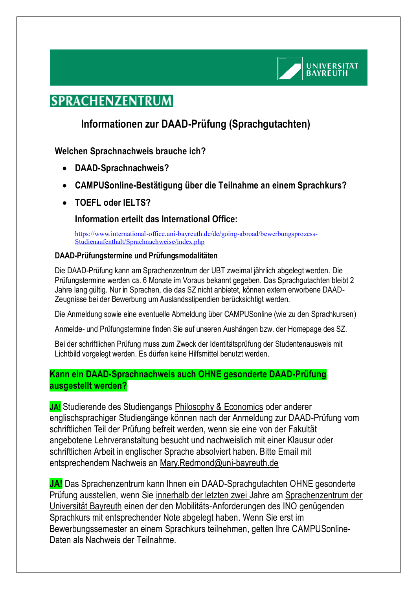

# **SPRACHENZENTRUM**

## **Informationen zur DAAD-Prüfung (Sprachgutachten)**

## **Welchen Sprachnachweis brauche ich?**

- **DAAD-Sprachnachweis?**
- **CAMPUSonline-Bestätigung über die Teilnahme an einem Sprachkurs?**
- **TOEFL oder IELTS?**

### **Information erteilt das International Office:**

[https://www.international-office.uni-bayreuth.de/de/going-abroad/bewerbungsprozess-](https://www.international-office.uni-bayreuth.de/de/going-abroad/bewerbungsprozess-Studienaufenthalt/Sprachnachweise/index.php)[Studienaufenthalt/Sprachnachweise/index.php](https://www.international-office.uni-bayreuth.de/de/going-abroad/bewerbungsprozess-Studienaufenthalt/Sprachnachweise/index.php)

#### **DAAD-Prüfungstermine und Prüfungsmodalitäten**

Die DAAD-Prüfung kann am Sprachenzentrum der UBT zweimal jährlich abgelegt werden. Die Prüfungstermine werden ca. 6 Monate im Voraus bekannt gegeben. Das Sprachgutachten bleibt 2 Jahre lang gültig. Nur in Sprachen, die das SZ nicht anbietet, können extern erworbene DAAD-Zeugnisse bei der Bewerbung um Auslandsstipendien berücksichtigt werden.

Die Anmeldung sowie eine eventuelle Abmeldung über CAMPUSonline (wie zu den Sprachkursen)

Anmelde- und Prüfungstermine finden Sie auf unseren Aushängen bzw. der Homepage des SZ.

Bei der schriftlichen Prüfung muss zum Zweck der Identitätsprüfung der Studentenausweis mit Lichtbild vorgelegt werden. Es dürfen keine Hilfsmittel benutzt werden.

### **Kann ein DAAD-Sprachnachweis auch OHNE gesonderte DAAD-Prüfung ausgestellt werden?**

**JA!** Studierende des Studiengangs Philosophy & Economics oder anderer englischsprachiger Studiengänge können nach der Anmeldung zur DAAD-Prüfung vom schriftlichen Teil der Prüfung befreit werden, wenn sie eine von der Fakultät angebotene Lehrveranstaltung besucht und nachweislich mit einer Klausur oder schriftlichen Arbeit in englischer Sprache absolviert haben. Bitte Email mit entsprechendem Nachweis an [Mary.Redmond@uni-bayreuth.de](mailto:Mary.Redmond@uni-bayreuth.de)

**JA!** Das Sprachenzentrum kann Ihnen ein DAAD-Sprachgutachten OHNE gesonderte Prüfung ausstellen, wenn Sie innerhalb der letzten zwei Jahre am Sprachenzentrum der Universität Bayreuth einen der den Mobilitäts-Anforderungen des INO genügenden Sprachkurs mit entsprechender Note abgelegt haben. Wenn Sie erst im Bewerbungssemester an einem Sprachkurs teilnehmen, gelten Ihre CAMPUSonline-Daten als Nachweis der Teilnahme.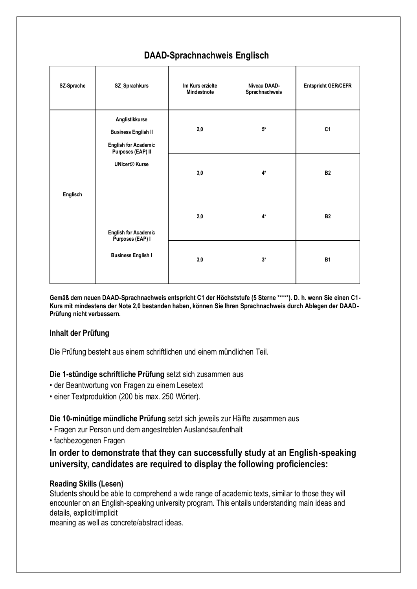| SZ-Sprache | SZ_Sprachkurs                                                                                                             | Im Kurs erzielte<br>Mindestnote | Niveau DAAD-<br>Sprachnachweis | <b>Entspricht GER/CEFR</b> |
|------------|---------------------------------------------------------------------------------------------------------------------------|---------------------------------|--------------------------------|----------------------------|
| Englisch   | Anglistikkurse<br><b>Business English II</b><br><b>English for Academic</b><br>Purposes (EAP) II<br><b>UNIcert® Kurse</b> | 2,0                             | $5^*$                          | C <sub>1</sub>             |
|            |                                                                                                                           | 3,0                             | 4*                             | <b>B2</b>                  |
|            | <b>English for Academic</b><br>Purposes (EAP) I<br><b>Business English I</b>                                              | 2,0                             | 4*                             | <b>B2</b>                  |
|            |                                                                                                                           | 3,0                             | $3*$                           | <b>B1</b>                  |

## **DAAD-Sprachnachweis Englisch**

**Gemäß dem neuen DAAD-Sprachnachweis entspricht C1 der Höchststufe (5 Sterne \*\*\*\*\*). D. h. wenn Sie einen C1- Kurs mit mindestens der Note 2,0 bestanden haben, können Sie Ihren Sprachnachweis durch Ablegen der DAAD-Prüfung nicht verbessern.** 

#### **Inhalt der Prüfung**

Die Prüfung besteht aus einem schriftlichen und einem mündlichen Teil.

#### **Die 1-stündige schriftliche Prüfung** setzt sich zusammen aus

- der Beantwortung von Fragen zu einem Lesetext
- einer Textproduktion (200 bis max. 250 Wörter).

**Die 10-minütige mündliche Prüfung** setzt sich jeweils zur Hälfte zusammen aus

- Fragen zur Person und dem angestrebten Auslandsaufenthalt
- fachbezogenen Fragen

#### **In order to demonstrate that they can successfully study at an English-speaking university, candidates are required to display the following proficiencies:**

#### **Reading Skills (Lesen)**

Students should be able to comprehend a wide range of academic texts, similar to those they will encounter on an English-speaking university program. This entails understanding main ideas and details, explicit/implicit

meaning as well as concrete/abstract ideas.